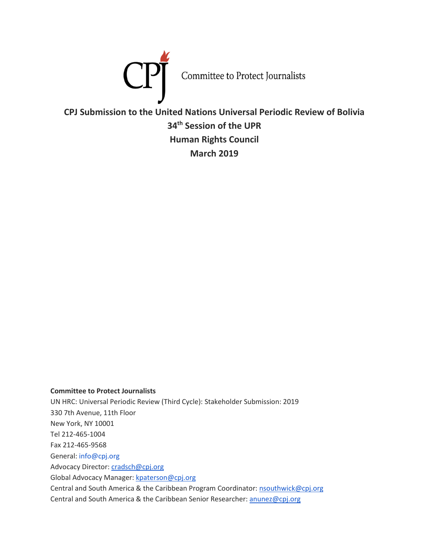

**CPJ Submission to the United Nations Universal Periodic Review of Bolivia 34th Session of the UPR Human Rights Council March 2019**

**Committee to Protect Journalists** UN HRC: Universal Periodic Review (Third Cycle): Stakeholder Submission: 2019 330 7th Avenue, 11th Floor New York, NY 10001 Tel 212-465-1004 Fax 212-465-9568 General: info@cpj.org Advocacy Director: [cradsch@cpj.org](mailto:cradsch@cpj.org) Global Advocacy Manager: [kpaterson@cpj.org](mailto:kpaterson@cpj.org) Central and South America & the Caribbean Program Coordinator: [nsouthwick@cpj.org](mailto:nsouthwick@cpj.org) Central and South America & the Caribbean Senior Researcher: [anunez@cpj.org](mailto:anunez@cpj.org)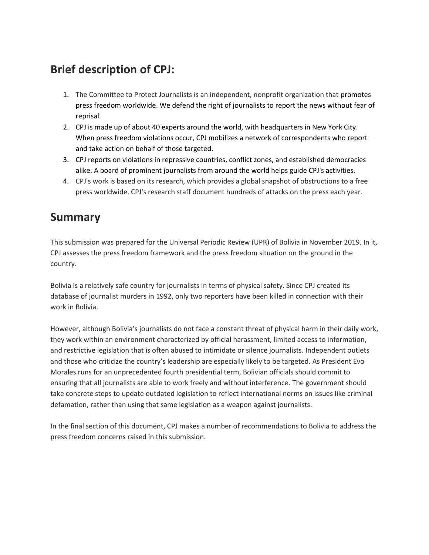# **Brief description of CPJ:**

- 1. The Committee to Protect Journalists is an independent, nonprofit organization that promotes press freedom worldwide. We defend the right of journalists to report the news without fear of reprisal.
- 2. CPJ is made up of about 40 experts around the world, with headquarters in New York City. When press freedom violations occur, CPJ mobilizes a network of correspondents who report and take action on behalf of those targeted.
- 3. CPJ reports on violations in repressive countries, conflict zones, and established democracies alike. A board of prominent journalists from around the world helps guide CPJ's activities.
- 4. CPJ's work is based on its research, which provides a global snapshot of obstructions to a free press worldwide. CPJ's research staff document hundreds of attacks on the press each year.

## **Summary**

This submission was prepared for the Universal Periodic Review (UPR) of Bolivia in November 2019. In it, CPJ assesses the press freedom framework and the press freedom situation on the ground in the country.

Bolivia is a relatively safe country for journalists in terms of physical safety. Since CPJ created its database of journalist murders in 1992, only two reporters have been killed in connection with their work in Bolivia.

However, although Bolivia's journalists do not face a constant threat of physical harm in their daily work, they work within an environment characterized by official harassment, limited access to information, and restrictive legislation that is often abused to intimidate or silence journalists. Independent outlets and those who criticize the country's leadership are especially likely to be targeted. As President Evo Morales runs for an unprecedented fourth presidential term, Bolivian officials should commit to ensuring that all journalists are able to work freely and without interference. The government should take concrete steps to update outdated legislation to reflect international norms on issues like criminal defamation, rather than using that same legislation as a weapon against journalists.

In the final section of this document, CPJ makes a number of recommendations to Bolivia to address the press freedom concerns raised in this submission.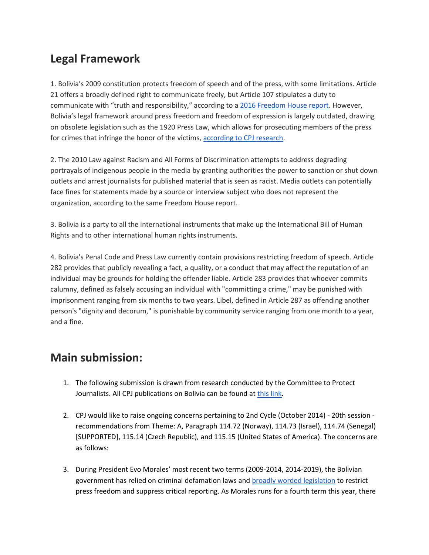# **Legal Framework**

1. Bolivia's 2009 constitution protects freedom of speech and of the press, with some limitations. Article 21 offers a broadly defined right to communicate freely, but Article 107 stipulates a duty to communicate with "truth and responsibility," according to [a 2016 Freedom House report.](https://freedomhouse.org/report/freedom-press/2016/bolivia) However, Bolivia's legal framework around press freedom and freedom of expression is largely outdated, drawing on obsolete legislation such as the 1920 Press Law, which allows for prosecuting members of the press for crimes that infringe the honor of the victims, [according to CPJ research.](https://cpj.org/reports/2016/03/south-america.php)

2. The 2010 Law against Racism and All Forms of Discrimination attempts to address degrading portrayals of indigenous people in the media by granting authorities the power to sanction or shut down outlets and arrest journalists for published material that is seen as racist. Media outlets can potentially face fines for statements made by a source or interview subject who does not represent the organization, according to the same Freedom House report.

3. Bolivia is a party to all the international instruments that make up the International Bill of Human Rights and to other international human rights instruments.

4. Bolivia's Penal Code and Press Law currently contain provisions restricting freedom of speech. Article 282 provides that publicly revealing a fact, a quality, or a conduct that may affect the reputation of an individual may be grounds for holding the offender liable. Article 283 provides that whoever commits calumny, defined as falsely accusing an individual with "committing a crime," may be punished with imprisonment ranging from six months to two years. Libel, defined in Article 287 as offending another person's "dignity and decorum," is punishable by community service ranging from one month to a year, and a fine.

#### **Main submission:**

- 1. The following submission is drawn from research conducted by the Committee to Protect Journalists. All CPJ publications on Bolivia can be found at [this link](https://cpj.org/americas/bolivia/)**.**
- 2. CPJ would like to raise ongoing concerns pertaining to 2nd Cycle (October 2014) 20th session recommendations from Theme: A, Paragraph 114.72 (Norway), 114.73 (Israel), 114.74 (Senegal) [SUPPORTED], 115.14 (Czech Republic), and 115.15 (United States of America). The concerns are as follows:
- 3. During President Evo Morales' most recent two terms (2009-2014, 2014-2019), the Bolivian government has relied on criminal defamation laws an[d broadly worded legislation](https://cpj.org/2010/10/bolivia-should-amend-anti-discrimination-law-to-en.php) to restrict press freedom and suppress critical reporting. As Morales runs for a fourth term this year, there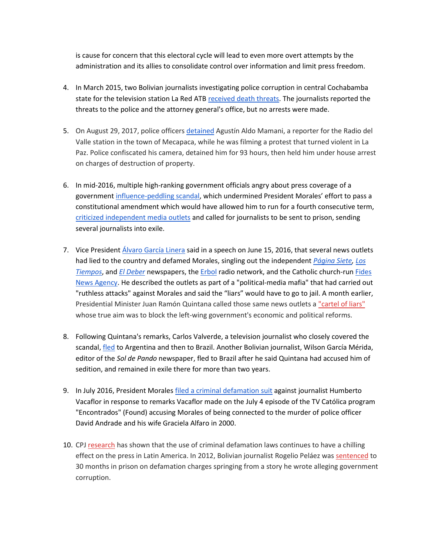is cause for concern that this electoral cycle will lead to even more overt attempts by the administration and its allies to consolidate control over information and limit press freedom.

- 4. In March 2015, two Bolivian journalists investigating police corruption in central Cochabamba state for the television station La Red ATB [received death threats.](https://cpj.org/2015/03/two-bolivian-journalists-threatened-after-reportin.php) The journalists reported the threats to the police and the attorney general's office, but no arrests were made.
- 5. On August 29, 2017, police officers [detained](https://cpj.org/2017/09/bolivian-radio-journalist-under-house-arrest-facin.php) Agustín Aldo Mamani, a reporter for the Radio del Valle station in the town of Mecapaca, while he was filming a protest that turned violent in La Paz. Police confiscated his camera, detained him for 93 hours, then held him under house arrest on charges of destruction of property.
- 6. In mid-2016, multiple high-ranking government officials angry about press coverage of a government [influence-peddling scandal,](http://www.nytimes.com/2016/05/26/opinion/the-worst-boyfriend-in-bolivia.html) which undermined President Morales' effort to pass a constitutional amendment which would have allowed him to run for a fourth consecutive term, [criticized independent media outlets](https://cpj.org/2016/06/bolivian-officials-threaten-journalists-with-jail.php) and called for journalists to be sent to prison, sending several journalists into exile.
- 7. Vice President *Álvaro García Linera* said in a speech on June 15, 2016, that several news outlets had lied to the country and defamed Morales, singling out the independent *[Página Siete,](http://www.paginasiete.bo/) [Los](http://www.lostiempos.com/)  [Tiempos](http://www.lostiempos.com/)*, and *[El Deber](http://www.eldeber.com.bo/)* newspapers, the [Erbol](http://www.erbol.com.bo/) radio network, and the Catholic church-run [Fides](http://www.noticiasfides.com/)  [News Agency.](http://www.noticiasfides.com/) He described the outlets as part of a "political-media mafia" that had carried out "ruthless attacks" against Morales and said the "liars" would have to go to jail. A month earlier, Presidential Minister Juan Ramón Quintana called those same news outlets a ["cartel of liars"](http://www.erbol.com.bo/noticia/politica/19052016/quintana_acuso_4_medios_de_formar_un_cartel_de_la_mentira) whose true aim was to block the left-wing government's economic and political reforms.
- 8. Following Quintana's remarks, Carlos Valverde, a television journalist who closely covered the scandal, [fled](https://knightcenter.utexas.edu/blog/00-17168-another-journalist-flees-bolivia-organizations-denounce-hostility-against-press-countr) to Argentina and then to Brazil. Another Bolivian journalist, Wilson García Mérida, editor of the *Sol de Pando* newspaper, fled to Brazil after he said Quintana had accused him of sedition, and remained in exile there for more than two years.
- 9. In July 2016, President Morales [filed a criminal defamation suit](https://cpj.org/2016/08/bolivian-presidents-criminal-defamation-suit-threa.php) against journalist Humberto Vacaflor in response to remarks Vacaflor made on the July 4 episode of the TV Católica program "Encontrados" (Found) accusing Morales of being connected to the murder of police officer David Andrade and his wife Graciela Alfaro in 2000.
- 10. CP[J research](https://cpj.org/blog/2015/08/criminal-defamation-thwarts-critical-reporting-in-.php) has shown that the use of criminal defamation laws continues to have a chilling effect on the press in Latin America. In 2012, Bolivian journalist Rogelio Peláez was [sentenced](https://cpj.org/2012/03/bolivian-journalist-sentenced-to-prison-for-defama.php#more) to 30 months in prison on defamation charges springing from a story he wrote alleging government corruption.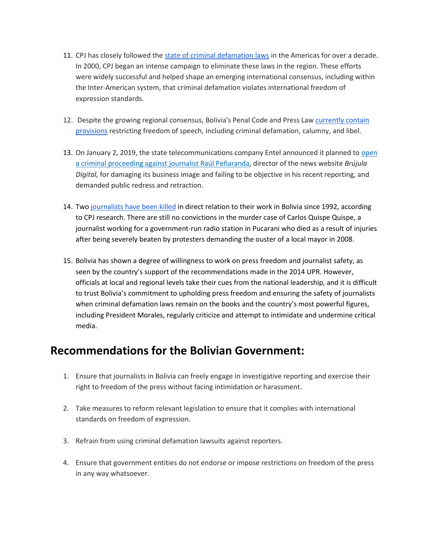- 11. CPJ has closely followed the [state of criminal defamation laws](https://cpj.org/reports/2016/03/south-america.php) in the Americas for over a decade. In 2000, CPJ began an intense campaign to eliminate these laws in the region. These efforts were widely successful and helped shape an emerging international consensus, including within the Inter-American system, that criminal defamation violates international freedom of expression standards.
- 12. Despite the growing regional consensus, Bolivia's Penal Code and Press Law [currently contain](https://cpj.org/reports/2016/03/south-america.php)  [provisions](https://cpj.org/reports/2016/03/south-america.php) restricting freedom of speech, including criminal defamation, calumny, and libel.
- 13. On January 2, 2019, the state telecommunications company Entel announced it planned to [open](https://www.paginasiete.bo/sociedad/2019/1/3/entel-anuncia-proceso-penal-contra-el-periodista-raul-penaranda-204912.html)  [a criminal proceeding against journalist Raúl Peñaranda,](https://www.paginasiete.bo/sociedad/2019/1/3/entel-anuncia-proceso-penal-contra-el-periodista-raul-penaranda-204912.html) director of the news website *Brújula Digital,* for damaging its business image and failing to be objective in his recent reporting, and demanded public redress and retraction.
- 14. Two [journalists have been killed](https://cpj.org/data/killed/americas/bolivia/?status=Killed&motiveConfirmed%5B%5D=Confirmed&type%5B%5D=Journalist&cc_fips%5B%5D=BL&start_year=1992&end_year=2019&group_by=location) in direct relation to their work in Bolivia since 1992, according to CPJ research. There are still no convictions in the murder case of Carlos Quispe Quispe, a journalist working for a government-run radio station in Pucarani who died as a result of injuries after being severely beaten by protesters demanding the ouster of a local mayor in 2008.
- 15. Bolivia has shown a degree of willingness to work on press freedom and journalist safety, as seen by the country's support of the recommendations made in the 2014 UPR. However, officials at local and regional levels take their cues from the national leadership, and it is difficult to trust Bolivia's commitment to upholding press freedom and ensuring the safety of journalists when criminal defamation laws remain on the books and the country's most powerful figures, including President Morales, regularly criticize and attempt to intimidate and undermine critical media.

## **Recommendations for the Bolivian Government:**

- 1. Ensure that journalists in Bolivia can freely engage in investigative reporting and exercise their right to freedom of the press without facing intimidation or harassment.
- 2. Take measures to reform relevant legislation to ensure that it complies with international standards on freedom of expression.
- 3. Refrain from using criminal defamation lawsuits against reporters.
- 4. Ensure that government entities do not endorse or impose restrictions on freedom of the press in any way whatsoever.